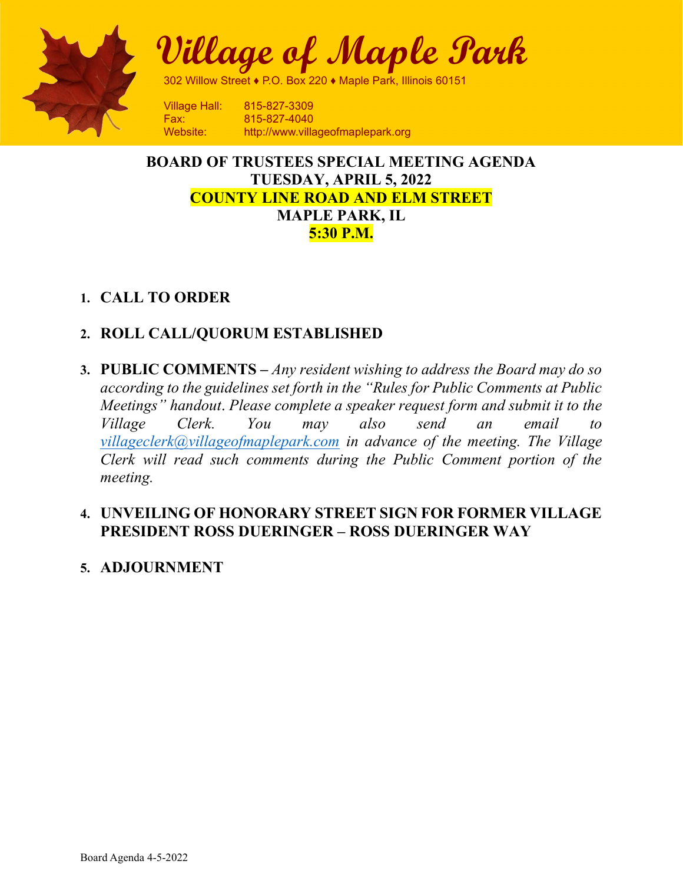

Village of Maple Park

302 Willow Street ♦ P.O. Box 220 ♦ Maple Park, Illinois 60151

**Village Hall: 815-827-3309** Fax: 815-827-4040 Website: http://www.villageofmaplepark.org

## BOARD OF TRUSTEES SPECIAL MEETING AGENDA TUESDAY, APRIL 5, 2022 COUNTY LINE ROAD AND ELM STREET MAPLE PARK, IL 5:30 P.M.

### 1. CALL TO ORDER

## 2. ROLL CALL/QUORUM ESTABLISHED

3. PUBLIC COMMENTS – Any resident wishing to address the Board may do so according to the guidelines set forth in the "Rules for Public Comments at Public Meetings" handout. Please complete a speaker request form and submit it to the Village Clerk. You may also send an email to villageclerk@villageofmaplepark.com in advance of the meeting. The Village Clerk will read such comments during the Public Comment portion of the meeting.

### 4. UNVEILING OF HONORARY STREET SIGN FOR FORMER VILLAGE PRESIDENT ROSS DUERINGER – ROSS DUERINGER WAY

5. ADJOURNMENT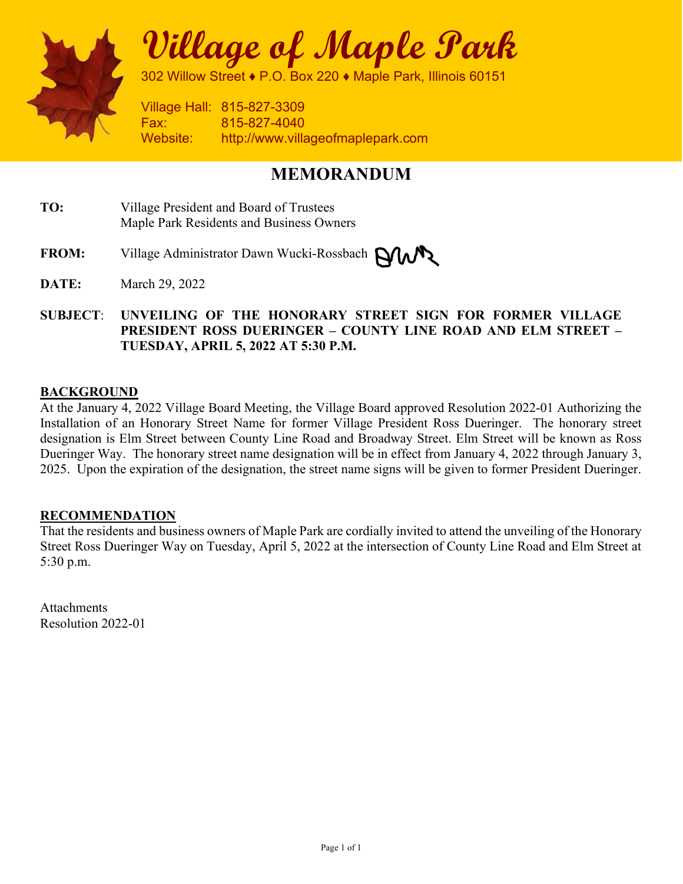

Village of Maple Park

302 Willow Street ♦ P.O. Box 220 ♦ Maple Park, Illinois 60151

Village Hall: 815-827-3309 Fax: 815-827-4040 Website: http://www.villageofmaplepark.com

## MEMORANDUM

- TO: Village President and Board of Trustees Maple Park Residents and Business Owners
- FROM: Village Administrator Dawn Wucki-Rossbach **NWN**
- **DATE:** March 29, 2022
- SUBJECT: UNVEILING OF THE HONORARY STREET SIGN FOR FORMER VILLAGE PRESIDENT ROSS DUERINGER – COUNTY LINE ROAD AND ELM STREET – TUESDAY, APRIL 5, 2022 AT 5:30 P.M.

#### BACKGROUND

At the January 4, 2022 Village Board Meeting, the Village Board approved Resolution 2022-01 Authorizing the Installation of an Honorary Street Name for former Village President Ross Dueringer. The honorary street designation is Elm Street between County Line Road and Broadway Street. Elm Street will be known as Ross Dueringer Way. The honorary street name designation will be in effect from January 4, 2022 through January 3, 2025. Upon the expiration of the designation, the street name signs will be given to former President Dueringer.

#### RECOMMENDATION

That the residents and business owners of Maple Park are cordially invited to attend the unveiling of the Honorary Street Ross Dueringer Way on Tuesday, April 5, 2022 at the intersection of County Line Road and Elm Street at 5:30 p.m.

**Attachments** Resolution 2022-01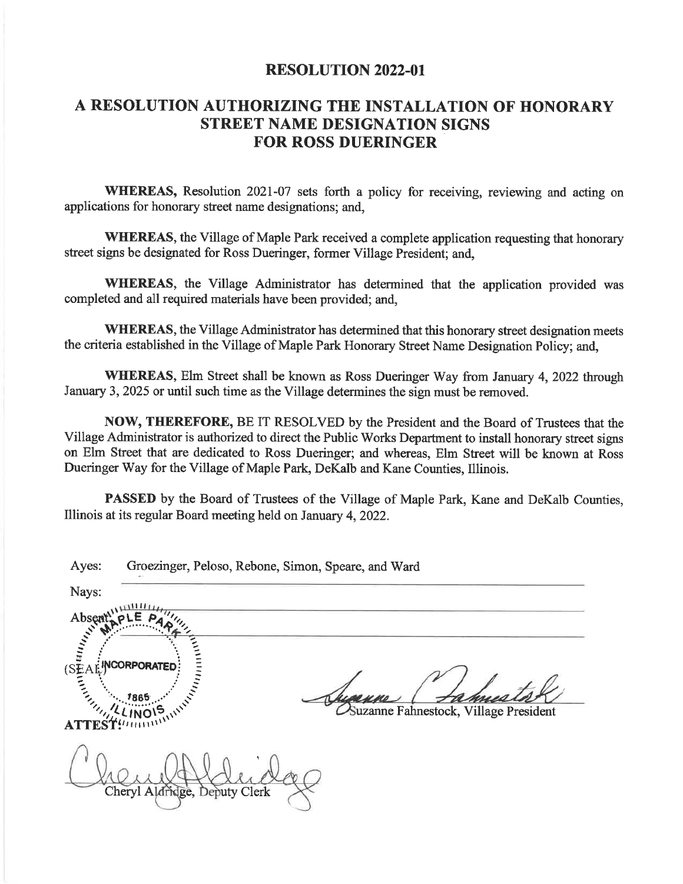#### **RESOLUTION 2022-01**

### A RESOLUTION AUTHORIZING THE INSTALLATION OF HONORARY **STREET NAME DESIGNATION SIGNS FOR ROSS DUERINGER**

WHEREAS, Resolution 2021-07 sets forth a policy for receiving, reviewing and acting on applications for honorary street name designations; and,

WHEREAS, the Village of Maple Park received a complete application requesting that honorary street signs be designated for Ross Dueringer, former Village President: and.

WHEREAS, the Village Administrator has determined that the application provided was completed and all required materials have been provided; and,

WHEREAS, the Village Administrator has determined that this honorary street designation meets the criteria established in the Village of Maple Park Honorary Street Name Designation Policy; and,

WHEREAS, Elm Street shall be known as Ross Dueringer Way from January 4, 2022 through January 3, 2025 or until such time as the Village determines the sign must be removed.

NOW, THEREFORE, BE IT RESOLVED by the President and the Board of Trustees that the Village Administrator is authorized to direct the Public Works Department to install honorary street signs on Elm Street that are dedicated to Ross Dueringer; and whereas, Elm Street will be known at Ross Dueringer Way for the Village of Maple Park, DeKalb and Kane Counties, Illinois.

PASSED by the Board of Trustees of the Village of Maple Park, Kane and DeKalb Counties, Illinois at its regular Board meeting held on January 4, 2022.

| Ayes:                          | Groezinger, Peloso, Rebone, Simon, Speare, and Ward                              |  |  |
|--------------------------------|----------------------------------------------------------------------------------|--|--|
| Nays:                          |                                                                                  |  |  |
| Absent                         | 41 H H                                                                           |  |  |
| AVANCE AND STRANGE<br>ATTEST!" | NCORPORATED<br><b>COIS AND RESEARCH</b><br>Suzanne Fahnestock, Village President |  |  |
|                                | Cheryl Aldridge, Deputy Clerk                                                    |  |  |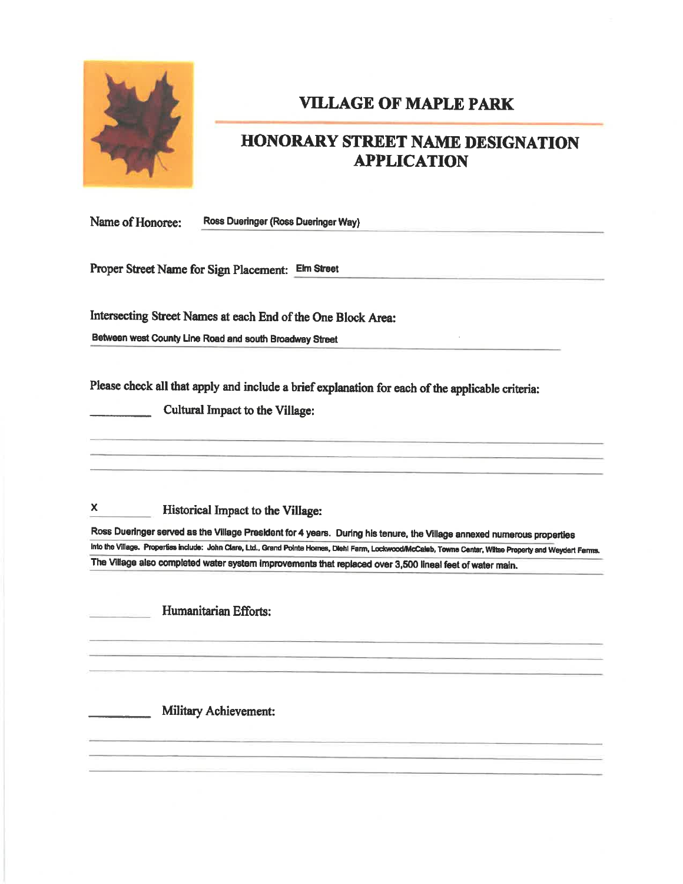

## **VILLAGE OF MAPLE PARK**

# HONORARY STREET NAME DESIGNATION **APPLICATION**

Name of Honoree: Ross Dueringer (Ross Dueringer Way)

Proper Street Name for Sign Placement: Elm Street

Intersecting Street Names at each End of the One Block Area:

Between west County Line Road and south Broadway Street

Please check all that apply and include a brief explanation for each of the applicable criteria:

Cultural Impact to the Village:

 $\mathbf{x}$ Historical Impact to the Village:

Ross Dueringer served as the Village President for 4 years. During his tenure, the Village annexed numerous properties into the Village. Properties include: John Clare, Ltd., Grand Pointe Homes, Diehl Farm, Lockwood/McCaleb, Towne Center, Wiltse Property and Weydert Farms. The Village also completed water system improvements that replaced over 3,500 lineal feet of water main.

Humanitarian Efforts:

Military Achievement: